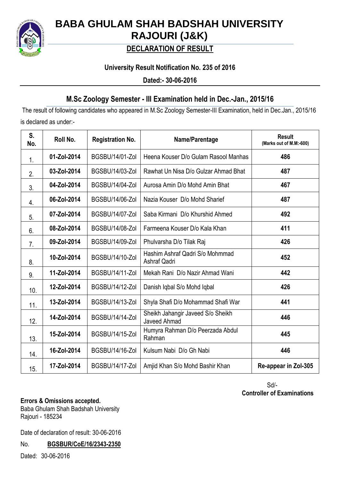

# **BABA GHULAM SHAH BADSHAH UNIVERSITY RAJOURI (J&K)**

## **DECLARATION OF RESULT**

### **University Result Notification No. 235 of 2016**

**Dated:- 30-06-2016**

### **M.Sc Zoology Semester - III Examination held in Dec.-Jan., 2015/16**

The result of following candidates who appeared in M.Sc Zoology Semester-III Examination, held in Dec.Jan., 2015/16 is declared as under:-

| S.<br>No. | Roll No.    | <b>Registration No.</b> | Name/Parentage                                    | <b>Result</b><br>(Marks out of M.M:-600) |
|-----------|-------------|-------------------------|---------------------------------------------------|------------------------------------------|
| 1.        | 01-Zol-2014 | <b>BGSBU/14/01-Zol</b>  | Heena Kouser D/o Gulam Rasool Manhas              | 486                                      |
| 2.        | 03-Zol-2014 | <b>BGSBU/14/03-Zol</b>  | Rawhat Un Nisa D/o Gulzar Ahmad Bhat              | 487                                      |
| 3.        | 04-Zol-2014 | <b>BGSBU/14/04-Zol</b>  | Aurosa Amin D/o Mohd Amin Bhat                    | 467                                      |
| 4.        | 06-Zol-2014 | BGSBU/14/06-Zol         | Nazia Kouser D/o Mohd Sharief                     | 487                                      |
| 5.        | 07-Zol-2014 | <b>BGSBU/14/07-Zol</b>  | Saba Kirmani D/o Khurshid Ahmed                   | 492                                      |
| 6.        | 08-Zol-2014 | <b>BGSBU/14/08-Zol</b>  | Farmeena Kouser D/o Kala Khan                     | 411                                      |
| 7.        | 09-Zol-2014 | BGSBU/14/09-Zol         | Phulvarsha D/o Tilak Raj                          | 426                                      |
| 8.        | 10-Zol-2014 | <b>BGSBU/14/10-Zol</b>  | Hashim Ashraf Qadri S/o Mohmmad<br>Ashraf Qadri   | 452                                      |
| 9.        | 11-Zol-2014 | <b>BGSBU/14/11-Zol</b>  | Mekah Rani D/o Nazir Ahmad Wani                   | 442                                      |
| 10.       | 12-Zol-2014 | <b>BGSBU/14/12-Zol</b>  | Danish Iqbal S/o Mohd Iqbal                       | 426                                      |
| 11.       | 13-Zol-2014 | <b>BGSBU/14/13-Zol</b>  | Shyla Shafi D/o Mohammad Shafi War                | 441                                      |
| 12.       | 14-Zol-2014 | BGSBU/14/14-Zol         | Sheikh Jahangir Javeed S/o Sheikh<br>Javeed Ahmad | 446                                      |
| 13.       | 15-Zol-2014 | <b>BGSBU/14/15-Zol</b>  | Humyra Rahman D/o Peerzada Abdul<br>Rahman        | 445                                      |
| 14.       | 16-Zol-2014 | <b>BGSBU/14/16-Zol</b>  | Kulsum Nabi D/o Gh Nabi                           | 446                                      |
| 15.       | 17-Zol-2014 | <b>BGSBU/14/17-Zol</b>  | Amjid Khan S/o Mohd Bashir Khan                   | Re-appear in Zol-305                     |

 Sd/-  **Controller of Examinations**

#### **Errors & Omissions accepted.**

Baba Ghulam Shah Badshah University Rajouri - 185234

Date of declaration of result: 30-06-2016

No. **BGSBUR/CoE/16/2343-2350**

Dated:30-06-2016